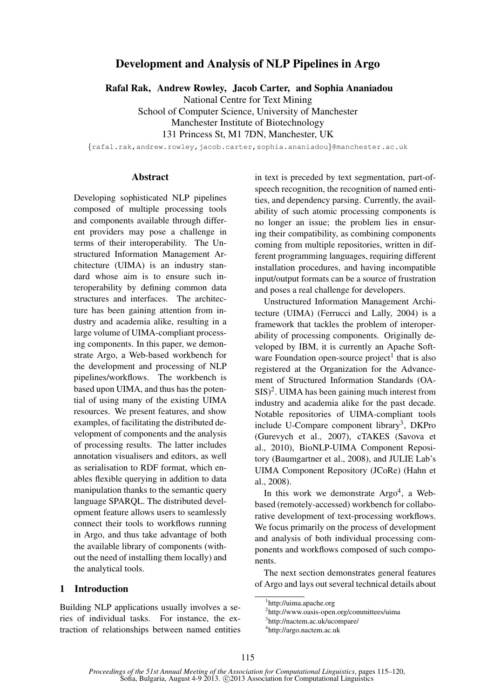# Development and Analysis of NLP Pipelines in Argo

Rafal Rak, Andrew Rowley, Jacob Carter, and Sophia Ananiadou

National Centre for Text Mining

School of Computer Science, University of Manchester Manchester Institute of Biotechnology 131 Princess St, M1 7DN, Manchester, UK

{rafal.rak,andrew.rowley,jacob.carter,sophia.ananiadou}@manchester.ac.uk

### Abstract

Developing sophisticated NLP pipelines composed of multiple processing tools and components available through different providers may pose a challenge in terms of their interoperability. The Unstructured Information Management Architecture (UIMA) is an industry standard whose aim is to ensure such interoperability by defining common data structures and interfaces. The architecture has been gaining attention from industry and academia alike, resulting in a large volume of UIMA-compliant processing components. In this paper, we demonstrate Argo, a Web-based workbench for the development and processing of NLP pipelines/workflows. The workbench is based upon UIMA, and thus has the potential of using many of the existing UIMA resources. We present features, and show examples, of facilitating the distributed development of components and the analysis of processing results. The latter includes annotation visualisers and editors, as well as serialisation to RDF format, which enables flexible querying in addition to data manipulation thanks to the semantic query language SPARQL. The distributed development feature allows users to seamlessly connect their tools to workflows running in Argo, and thus take advantage of both the available library of components (without the need of installing them locally) and the analytical tools.

## 1 Introduction

Building NLP applications usually involves a series of individual tasks. For instance, the extraction of relationships between named entities in text is preceded by text segmentation, part-ofspeech recognition, the recognition of named entities, and dependency parsing. Currently, the availability of such atomic processing components is no longer an issue; the problem lies in ensuring their compatibility, as combining components coming from multiple repositories, written in different programming languages, requiring different installation procedures, and having incompatible input/output formats can be a source of frustration and poses a real challenge for developers.

Unstructured Information Management Architecture (UIMA) (Ferrucci and Lally, 2004) is a framework that tackles the problem of interoperability of processing components. Originally developed by IBM, it is currently an Apache Software Foundation open-source project<sup>1</sup> that is also registered at the Organization for the Advancement of Structured Information Standards (OA- $SIS)^2$ . UIMA has been gaining much interest from industry and academia alike for the past decade. Notable repositories of UIMA-compliant tools include U-Compare component library<sup>3</sup>, DKPro (Gurevych et al., 2007), cTAKES (Savova et al., 2010), BioNLP-UIMA Component Repository (Baumgartner et al., 2008), and JULIE Lab's UIMA Component Repository (JCoRe) (Hahn et al., 2008).

In this work we demonstrate Argo<sup>4</sup>, a Webbased (remotely-accessed) workbench for collaborative development of text-processing workflows. We focus primarily on the process of development and analysis of both individual processing components and workflows composed of such components.

The next section demonstrates general features of Argo and lays out several technical details about

<sup>1</sup> http://uima.apache.org

<sup>2</sup> http://www.oasis-open.org/committees/uima 3 http://nactem.ac.uk/ucompare/

<sup>4</sup> http://argo.nactem.ac.uk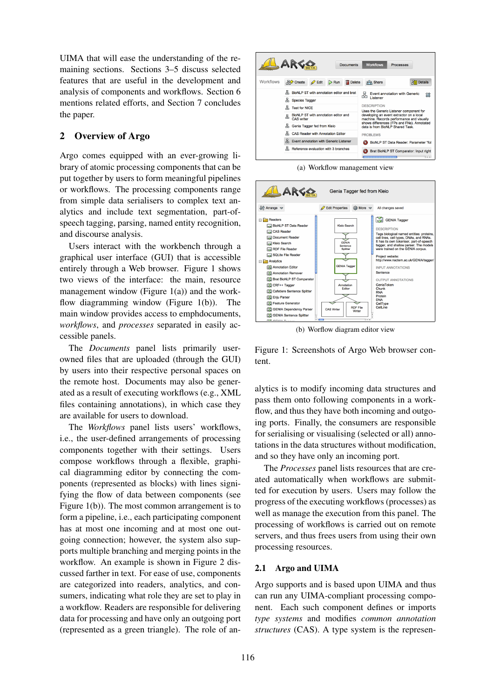UIMA that will ease the understanding of the remaining sections. Sections 3–5 discuss selected features that are useful in the development and analysis of components and workflows. Section 6 mentions related efforts, and Section 7 concludes the paper.

# 2 Overview of Argo

Argo comes equipped with an ever-growing library of atomic processing components that can be put together by users to form meaningful pipelines or workflows. The processing components range from simple data serialisers to complex text analytics and include text segmentation, part-ofspeech tagging, parsing, named entity recognition, and discourse analysis.

Users interact with the workbench through a graphical user interface (GUI) that is accessible entirely through a Web browser. Figure 1 shows two views of the interface: the main, resource management window (Figure 1(a)) and the workflow diagramming window (Figure 1(b)). The main window provides access to emphdocuments, *workflows*, and *processes* separated in easily accessible panels.

The *Documents* panel lists primarily userowned files that are uploaded (through the GUI) by users into their respective personal spaces on the remote host. Documents may also be generated as a result of executing workflows (e.g., XML files containing annotations), in which case they are available for users to download.

The *Workflows* panel lists users' workflows, i.e., the user-defined arrangements of processing components together with their settings. Users compose workflows through a flexible, graphical diagramming editor by connecting the components (represented as blocks) with lines signifying the flow of data between components (see Figure 1(b)). The most common arrangement is to form a pipeline, i.e., each participating component has at most one incoming and at most one outgoing connection; however, the system also supports multiple branching and merging points in the workflow. An example is shown in Figure 2 discussed farther in text. For ease of use, components are categorized into readers, analytics, and consumers, indicating what role they are set to play in a workflow. Readers are responsible for delivering data for processing and have only an outgoing port (represented as a green triangle). The role of an-



(a) Workflow management view



(b) Worflow diagram editor view

Figure 1: Screenshots of Argo Web browser content.

alytics is to modify incoming data structures and pass them onto following components in a workflow, and thus they have both incoming and outgoing ports. Finally, the consumers are responsible for serialising or visualising (selected or all) annotations in the data structures without modification, and so they have only an incoming port.

The *Processes* panel lists resources that are created automatically when workflows are submitted for execution by users. Users may follow the progress of the executing workflows (processes) as well as manage the execution from this panel. The processing of workflows is carried out on remote servers, and thus frees users from using their own processing resources.

## 2.1 Argo and UIMA

Argo supports and is based upon UIMA and thus can run any UIMA-compliant processing component. Each such component defines or imports *type systems* and modifies *common annotation structures* (CAS). A type system is the represen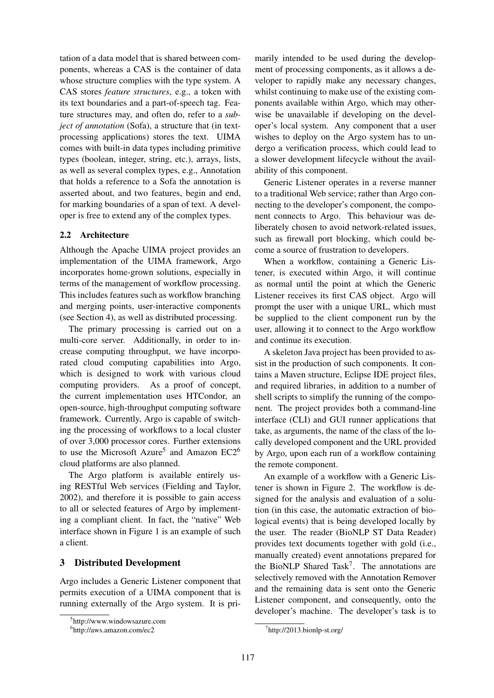tation of a data model that is shared between components, whereas a CAS is the container of data whose structure complies with the type system. A CAS stores *feature structures*, e.g., a token with its text boundaries and a part-of-speech tag. Feature structures may, and often do, refer to a *subject of annotation* (Sofa), a structure that (in textprocessing applications) stores the text. UIMA comes with built-in data types including primitive types (boolean, integer, string, etc.), arrays, lists, as well as several complex types, e.g., Annotation that holds a reference to a Sofa the annotation is asserted about, and two features, begin and end, for marking boundaries of a span of text. A developer is free to extend any of the complex types.

## 2.2 Architecture

Although the Apache UIMA project provides an implementation of the UIMA framework, Argo incorporates home-grown solutions, especially in terms of the management of workflow processing. This includes features such as workflow branching and merging points, user-interactive components (see Section 4), as well as distributed processing.

The primary processing is carried out on a multi-core server. Additionally, in order to increase computing throughput, we have incorporated cloud computing capabilities into Argo, which is designed to work with various cloud computing providers. As a proof of concept, the current implementation uses HTCondor, an open-source, high-throughput computing software framework. Currently, Argo is capable of switching the processing of workflows to a local cluster of over 3,000 processor cores. Further extensions to use the Microsoft Azure<sup>5</sup> and Amazon  $EC2^6$ cloud platforms are also planned.

The Argo platform is available entirely using RESTful Web services (Fielding and Taylor, 2002), and therefore it is possible to gain access to all or selected features of Argo by implementing a compliant client. In fact, the "native" Web interface shown in Figure 1 is an example of such a client.

### 3 Distributed Development

Argo includes a Generic Listener component that permits execution of a UIMA component that is running externally of the Argo system. It is primarily intended to be used during the development of processing components, as it allows a developer to rapidly make any necessary changes, whilst continuing to make use of the existing components available within Argo, which may otherwise be unavailable if developing on the developer's local system. Any component that a user wishes to deploy on the Argo system has to undergo a verification process, which could lead to a slower development lifecycle without the availability of this component.

Generic Listener operates in a reverse manner to a traditional Web service; rather than Argo connecting to the developer's component, the component connects to Argo. This behaviour was deliberately chosen to avoid network-related issues, such as firewall port blocking, which could become a source of frustration to developers.

When a workflow, containing a Generic Listener, is executed within Argo, it will continue as normal until the point at which the Generic Listener receives its first CAS object. Argo will prompt the user with a unique URL, which must be supplied to the client component run by the user, allowing it to connect to the Argo workflow and continue its execution.

A skeleton Java project has been provided to assist in the production of such components. It contains a Maven structure, Eclipse IDE project files, and required libraries, in addition to a number of shell scripts to simplify the running of the component. The project provides both a command-line interface (CLI) and GUI runner applications that take, as arguments, the name of the class of the locally developed component and the URL provided by Argo, upon each run of a workflow containing the remote component.

An example of a workflow with a Generic Listener is shown in Figure 2. The workflow is designed for the analysis and evaluation of a solution (in this case, the automatic extraction of biological events) that is being developed locally by the user. The reader (BioNLP ST Data Reader) provides text documents together with gold (i.e., manually created) event annotations prepared for the BioNLP Shared Task<sup>7</sup>. The annotations are selectively removed with the Annotation Remover and the remaining data is sent onto the Generic Listener component, and consequently, onto the developer's machine. The developer's task is to

<sup>5</sup> http://www.windowsazure.com

<sup>6</sup> http://aws.amazon.com/ec2

<sup>7</sup> http://2013.bionlp-st.org/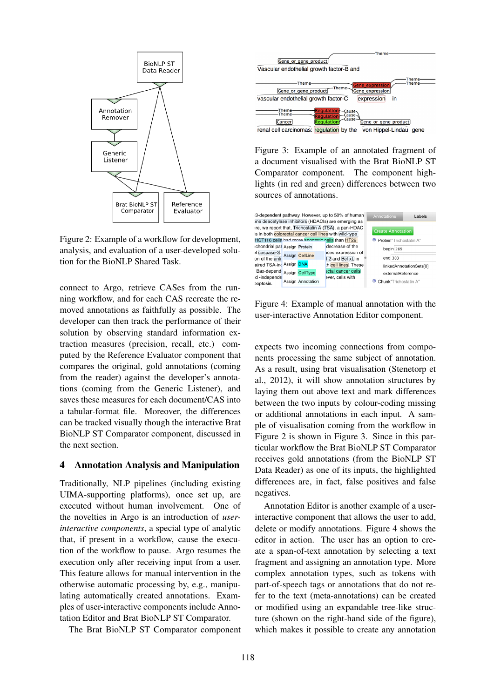

Figure 2: Example of a workflow for development, analysis, and evaluation of a user-developed solution for the BioNLP Shared Task.

connect to Argo, retrieve CASes from the running workflow, and for each CAS recreate the removed annotations as faithfully as possible. The developer can then track the performance of their solution by observing standard information extraction measures (precision, recall, etc.) computed by the Reference Evaluator component that compares the original, gold annotations (coming from the reader) against the developer's annotations (coming from the Generic Listener), and saves these measures for each document/CAS into a tabular-format file. Moreover, the differences can be tracked visually though the interactive Brat BioNLP ST Comparator component, discussed in the next section.

#### 4 Annotation Analysis and Manipulation

Traditionally, NLP pipelines (including existing UIMA-supporting platforms), once set up, are executed without human involvement. One of the novelties in Argo is an introduction of *userinteractive components*, a special type of analytic that, if present in a workflow, cause the execution of the workflow to pause. Argo resumes the execution only after receiving input from a user. This feature allows for manual intervention in the otherwise automatic processing by, e.g., manipulating automatically created annotations. Examples of user-interactive components include Annotation Editor and Brat BioNLP ST Comparator.

The Brat BioNLP ST Comparator component



Figure 3: Example of an annotated fragment of a document visualised with the Brat BioNLP ST Comparator component. The component highlights (in red and green) differences between two sources of annotations.



Figure 4: Example of manual annotation with the user-interactive Annotation Editor component.

expects two incoming connections from components processing the same subject of annotation. As a result, using brat visualisation (Stenetorp et al., 2012), it will show annotation structures by laying them out above text and mark differences between the two inputs by colour-coding missing or additional annotations in each input. A sample of visualisation coming from the workflow in Figure 2 is shown in Figure 3. Since in this particular workflow the Brat BioNLP ST Comparator receives gold annotations (from the BioNLP ST Data Reader) as one of its inputs, the highlighted differences are, in fact, false positives and false negatives.

Annotation Editor is another example of a userinteractive component that allows the user to add, delete or modify annotations. Figure 4 shows the editor in action. The user has an option to create a span-of-text annotation by selecting a text fragment and assigning an annotation type. More complex annotation types, such as tokens with part-of-speech tags or annotations that do not refer to the text (meta-annotations) can be created or modified using an expandable tree-like structure (shown on the right-hand side of the figure), which makes it possible to create any annotation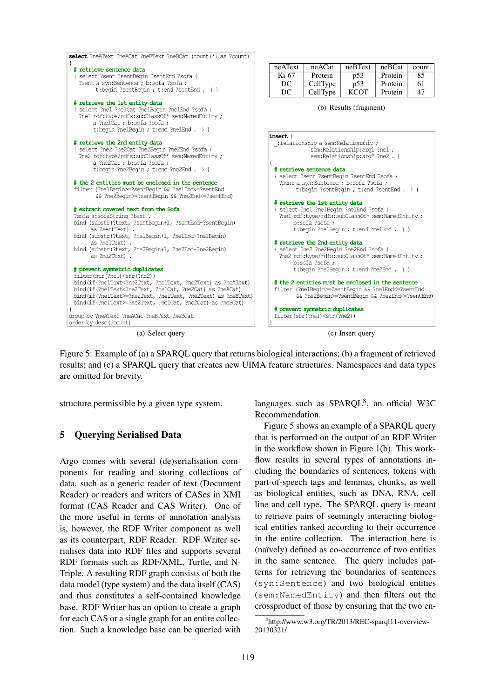

Figure 5: Example of (a) a SPARQL query that returns biological interactions; (b) a fragment of retrieved results; and (c) a SPARQL query that creates new UIMA feature structures. Namespaces and data types are omitted for brevity.

structure permissible by a given type system.

# 5 Querying Serialised Data

Argo comes with several (de)serialisation components for reading and storing collections of data, such as a generic reader of text (Document Reader) or readers and writers of CASes in XMI format (CAS Reader and CAS Writer). One of the more useful in terms of annotation analysis is, however, the RDF Writer component as well as its counterpart, RDF Reader. RDF Writer serialises data into RDF files and supports several RDF formats such as RDF/XML, Turtle, and N-Triple. A resulting RDF graph consists of both the data model (type system) and the data itself (CAS) and thus constitutes a self-contained knowledge base. RDF Writer has an option to create a graph for each CAS or a single graph for an entire collection. Such a knowledge base can be queried with languages such as SPARQL<sup>8</sup>, an official W3C Recommendation.

Figure 5 shows an example of a SPARQL query that is performed on the output of an RDF Writer in the workflow shown in Figure 1(b). This workflow results in several types of annotations including the boundaries of sentences, tokens with part-of-speech tags and lemmas, chunks, as well as biological entities, such as DNA, RNA, cell line and cell type. The SPARQL query is meant to retrieve pairs of seemingly interacting biological entities ranked according to their occurrence in the entire collection. The interaction here is (naïvely) defined as co-occurrence of two entities in the same sentence. The query includes patterns for retrieving the boundaries of sentences (syn:Sentence) and two biological entities (sem:NamedEntity) and then filters out the crossproduct of those by ensuring that the two en-

<sup>8</sup> http://www.w3.org/TR/2013/REC-sparql11-overview-20130321/